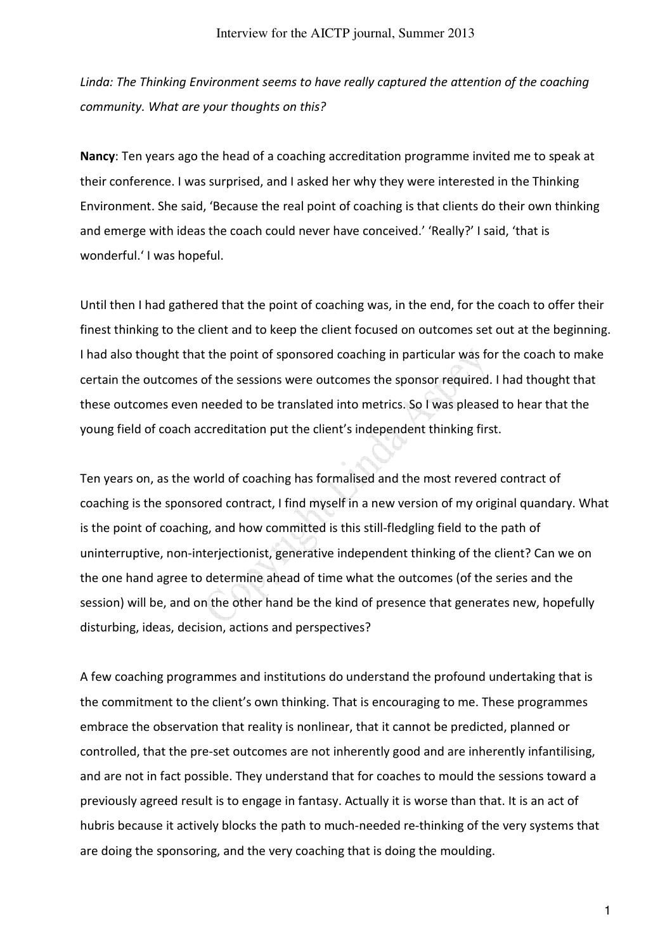*Linda: The Thinking Environment seems to have really captured the attention of the coaching community. What are your thoughts on this?* 

**Nancy**: Ten years ago the head of a coaching accreditation programme invited me to speak at their conference. I was surprised, and I asked her why they were interested in the Thinking Environment. She said, 'Because the real point of coaching is that clients do their own thinking and emerge with ideas the coach could never have conceived.' 'Really?' I said, 'that is wonderful.' I was hopeful.

Until then I had gathered that the point of coaching was, in the end, for the coach to offer their finest thinking to the client and to keep the client focused on outcomes set out at the beginning. I had also thought that the point of sponsored coaching in particular was for the coach to make certain the outcomes of the sessions were outcomes the sponsor required. I had thought that these outcomes even needed to be translated into metrics. So I was pleased to hear that the young field of coach accreditation put the client's independent thinking first.

Ten years on, as the world of coaching has formalised and the most revered contract of coaching is the sponsored contract, I find myself in a new version of my original quandary. What is the point of coaching, and how committed is this still-fledgling field to the path of uninterruptive, non-interjectionist, generative independent thinking of the client? Can we on the one hand agree to determine ahead of time what the outcomes (of the series and the session) will be, and on the other hand be the kind of presence that generates new, hopefully disturbing, ideas, decision, actions and perspectives?

A few coaching programmes and institutions do understand the profound undertaking that is the commitment to the client's own thinking. That is encouraging to me. These programmes embrace the observation that reality is nonlinear, that it cannot be predicted, planned or controlled, that the pre-set outcomes are not inherently good and are inherently infantilising, and are not in fact possible. They understand that for coaches to mould the sessions toward a previously agreed result is to engage in fantasy. Actually it is worse than that. It is an act of hubris because it actively blocks the path to much-needed re-thinking of the very systems that are doing the sponsoring, and the very coaching that is doing the moulding.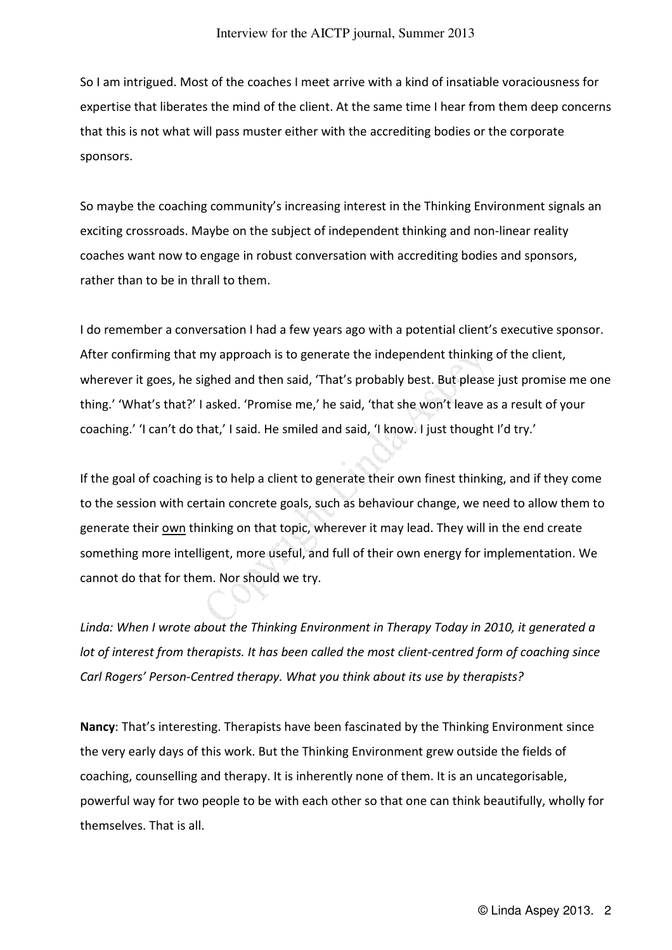So I am intrigued. Most of the coaches I meet arrive with a kind of insatiable voraciousness for expertise that liberates the mind of the client. At the same time I hear from them deep concerns that this is not what will pass muster either with the accrediting bodies or the corporate sponsors.

So maybe the coaching community's increasing interest in the Thinking Environment signals an exciting crossroads. Maybe on the subject of independent thinking and non-linear reality coaches want now to engage in robust conversation with accrediting bodies and sponsors, rather than to be in thrall to them.

I do remember a conversation I had a few years ago with a potential client's executive sponsor. After confirming that my approach is to generate the independent thinking of the client, wherever it goes, he sighed and then said, 'That's probably best. But please just promise me one thing.' 'What's that?' I asked. 'Promise me,' he said, 'that she won't leave as a result of your coaching.' 'I can't do that,' I said. He smiled and said, 'I know. I just thought I'd try.'

If the goal of coaching is to help a client to generate their own finest thinking, and if they come to the session with certain concrete goals, such as behaviour change, we need to allow them to generate their own thinking on that topic, wherever it may lead. They will in the end create something more intelligent, more useful, and full of their own energy for implementation. We cannot do that for them. Nor should we try.

*Linda: When I wrote about the Thinking Environment in Therapy Today in 2010, it generated a lot of interest from therapists. It has been called the most client-centred form of coaching since Carl Rogers' Person-Centred therapy. What you think about its use by therapists?* 

**Nancy**: That's interesting. Therapists have been fascinated by the Thinking Environment since the very early days of this work. But the Thinking Environment grew outside the fields of coaching, counselling and therapy. It is inherently none of them. It is an uncategorisable, powerful way for two people to be with each other so that one can think beautifully, wholly for themselves. That is all.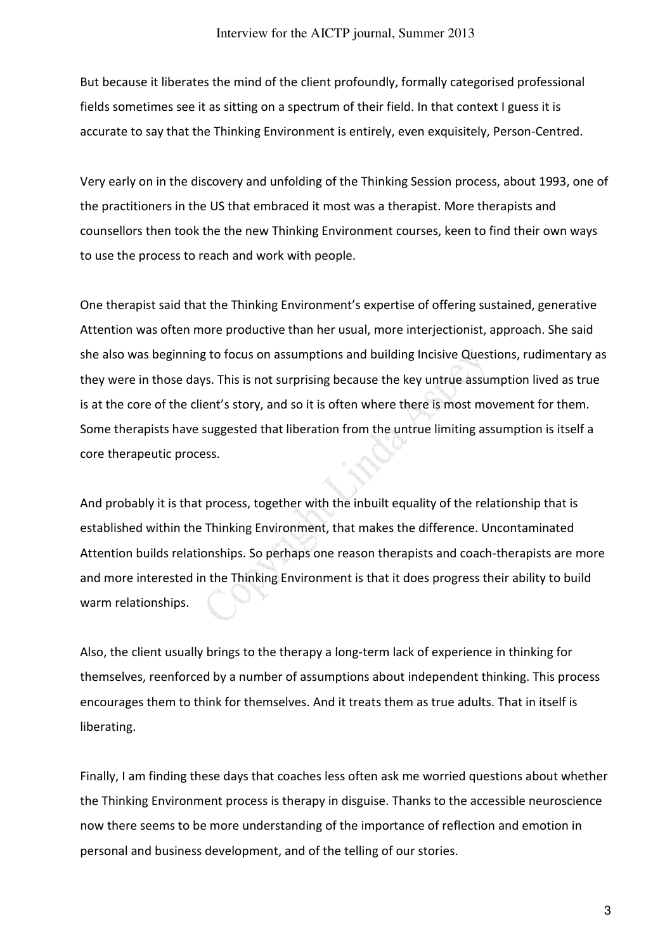But because it liberates the mind of the client profoundly, formally categorised professional fields sometimes see it as sitting on a spectrum of their field. In that context I guess it is accurate to say that the Thinking Environment is entirely, even exquisitely, Person-Centred.

Very early on in the discovery and unfolding of the Thinking Session process, about 1993, one of the practitioners in the US that embraced it most was a therapist. More therapists and counsellors then took the the new Thinking Environment courses, keen to find their own ways to use the process to reach and work with people.

One therapist said that the Thinking Environment's expertise of offering sustained, generative Attention was often more productive than her usual, more interjectionist, approach. She said she also was beginning to focus on assumptions and building Incisive Questions, rudimentary as they were in those days. This is not surprising because the key untrue assumption lived as true is at the core of the client's story, and so it is often where there is most movement for them. Some therapists have suggested that liberation from the untrue limiting assumption is itself a core therapeutic process.

And probably it is that process, together with the inbuilt equality of the relationship that is established within the Thinking Environment, that makes the difference. Uncontaminated Attention builds relationships. So perhaps one reason therapists and coach-therapists are more and more interested in the Thinking Environment is that it does progress their ability to build warm relationships.

Also, the client usually brings to the therapy a long-term lack of experience in thinking for themselves, reenforced by a number of assumptions about independent thinking. This process encourages them to think for themselves. And it treats them as true adults. That in itself is liberating.

Finally, I am finding these days that coaches less often ask me worried questions about whether the Thinking Environment process is therapy in disguise. Thanks to the accessible neuroscience now there seems to be more understanding of the importance of reflection and emotion in personal and business development, and of the telling of our stories.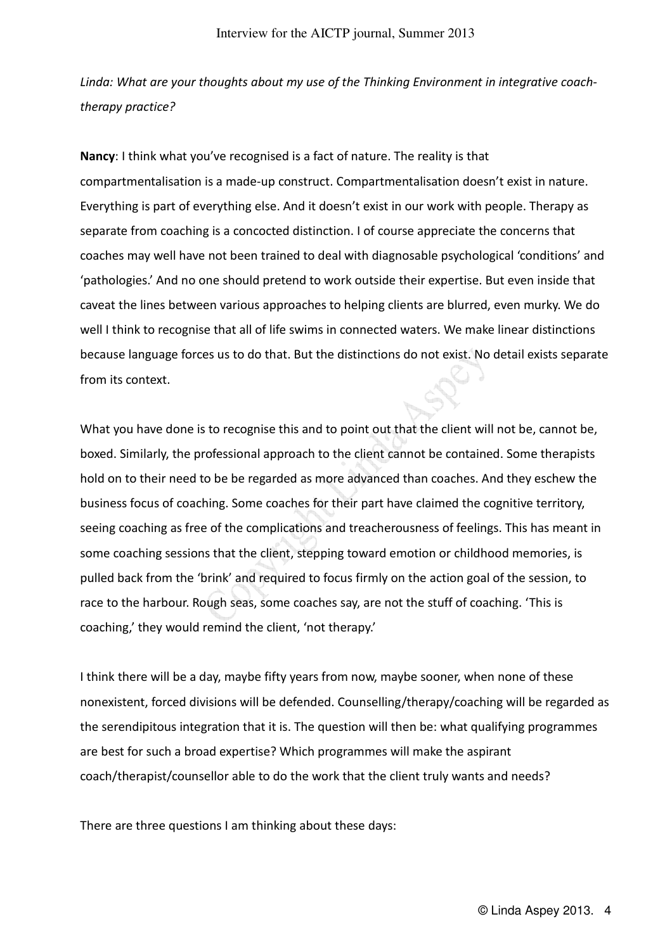*Linda: What are your thoughts about my use of the Thinking Environment in integrative coachtherapy practice?* 

**Nancy**: I think what you've recognised is a fact of nature. The reality is that compartmentalisation is a made-up construct. Compartmentalisation doesn't exist in nature. Everything is part of everything else. And it doesn't exist in our work with people. Therapy as separate from coaching is a concocted distinction. I of course appreciate the concerns that coaches may well have not been trained to deal with diagnosable psychological 'conditions' and 'pathologies.' And no one should pretend to work outside their expertise. But even inside that caveat the lines between various approaches to helping clients are blurred, even murky. We do well I think to recognise that all of life swims in connected waters. We make linear distinctions because language forces us to do that. But the distinctions do not exist. No detail exists separate from its context.

What you have done is to recognise this and to point out that the client will not be, cannot be, boxed. Similarly, the professional approach to the client cannot be contained. Some therapists hold on to their need to be be regarded as more advanced than coaches. And they eschew the business focus of coaching. Some coaches for their part have claimed the cognitive territory, seeing coaching as free of the complications and treacherousness of feelings. This has meant in some coaching sessions that the client, stepping toward emotion or childhood memories, is pulled back from the 'brink' and required to focus firmly on the action goal of the session, to race to the harbour. Rough seas, some coaches say, are not the stuff of coaching. 'This is coaching,' they would remind the client, 'not therapy.'

I think there will be a day, maybe fifty years from now, maybe sooner, when none of these nonexistent, forced divisions will be defended. Counselling/therapy/coaching will be regarded as the serendipitous integration that it is. The question will then be: what qualifying programmes are best for such a broad expertise? Which programmes will make the aspirant coach/therapist/counsellor able to do the work that the client truly wants and needs?

There are three questions I am thinking about these days: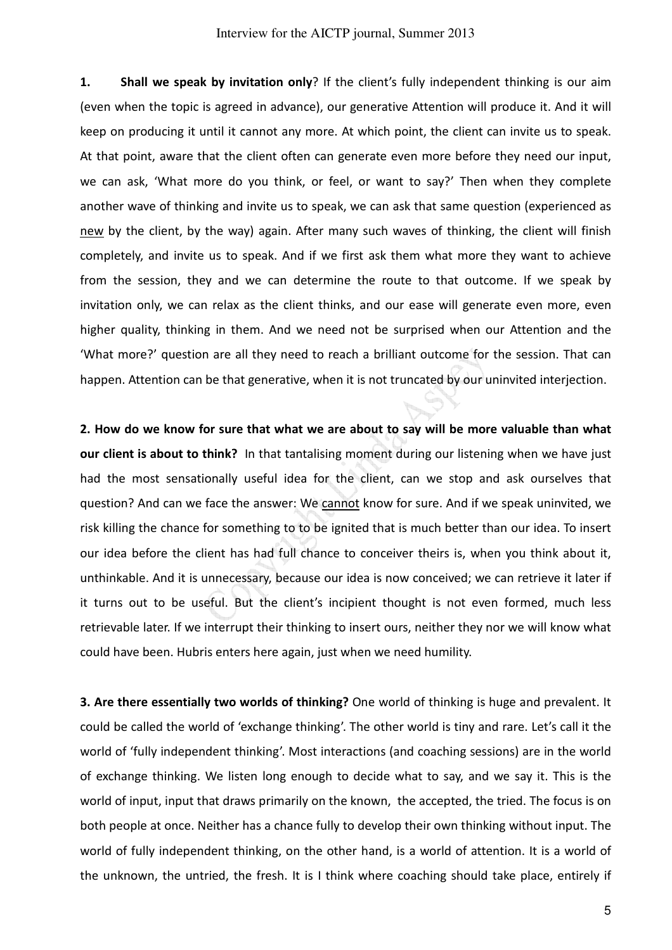**1. Shall we speak by invitation only**? If the client's fully independent thinking is our aim (even when the topic is agreed in advance), our generative Attention will produce it. And it will keep on producing it until it cannot any more. At which point, the client can invite us to speak. At that point, aware that the client often can generate even more before they need our input, we can ask, 'What more do you think, or feel, or want to say?' Then when they complete another wave of thinking and invite us to speak, we can ask that same question (experienced as new by the client, by the way) again. After many such waves of thinking, the client will finish completely, and invite us to speak. And if we first ask them what more they want to achieve from the session, they and we can determine the route to that outcome. If we speak by invitation only, we can relax as the client thinks, and our ease will generate even more, even higher quality, thinking in them. And we need not be surprised when our Attention and the 'What more?' question are all they need to reach a brilliant outcome for the session. That can happen. Attention can be that generative, when it is not truncated by our uninvited interjection.

**2. How do we know for sure that what we are about to say will be more valuable than what our client is about to think?** In that tantalising moment during our listening when we have just had the most sensationally useful idea for the client, can we stop and ask ourselves that question? And can we face the answer: We cannot know for sure. And if we speak uninvited, we risk killing the chance for something to to be ignited that is much better than our idea. To insert our idea before the client has had full chance to conceiver theirs is, when you think about it, unthinkable. And it is unnecessary, because our idea is now conceived; we can retrieve it later if it turns out to be useful. But the client's incipient thought is not even formed, much less retrievable later. If we interrupt their thinking to insert ours, neither they nor we will know what could have been. Hubris enters here again, just when we need humility.

**3. Are there essentially two worlds of thinking?** One world of thinking is huge and prevalent. It could be called the world of 'exchange thinking'. The other world is tiny and rare. Let's call it the world of 'fully independent thinking'. Most interactions (and coaching sessions) are in the world of exchange thinking. We listen long enough to decide what to say, and we say it. This is the world of input, input that draws primarily on the known, the accepted, the tried. The focus is on both people at once. Neither has a chance fully to develop their own thinking without input. The world of fully independent thinking, on the other hand, is a world of attention. It is a world of the unknown, the untried, the fresh. It is I think where coaching should take place, entirely if